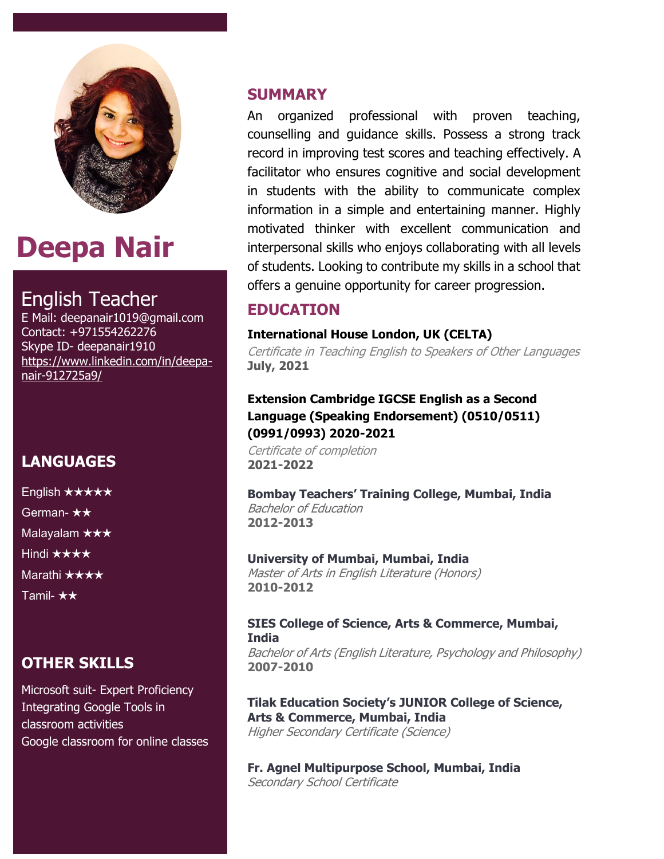

# **Deepa Nair**

### English Teacher

E Mail: deepanair1019@gmail.com Contact: +971554262276 Skype ID- deepanair1910 [https://www.linkedin.com/in/deepa](https://www.linkedin.com/in/deepa-nair-912725a9/)[nair-912725a9/](https://www.linkedin.com/in/deepa-nair-912725a9/)

### **LANGUAGES**

English ★★★★★ German- ★★ Malayalam ★★★ Hindi ★★★★ Marathi ★★★★ Tamil- ★★

### **OTHER SKILLS**

Microsoft suit- Expert Proficiency Integrating Google Tools in classroom activities Google classroom for online classes

#### **SUMMARY**

An organized professional with proven teaching, counselling and guidance skills. Possess a strong track record in improving test scores and teaching effectively. A facilitator who ensures cognitive and social development in students with the ability to communicate complex information in a simple and entertaining manner. Highly motivated thinker with excellent communication and interpersonal skills who enjoys collaborating with all levels of students. Looking to contribute my skills in a school that offers a genuine opportunity for career progression.

### **EDUCATION**

#### **International House London, UK (CELTA)**

Certificate in Teaching English to Speakers of Other Languages **July, 2021**

#### **Extension Cambridge IGCSE English as a Second Language (Speaking Endorsement) (0510/0511) (0991/0993) 2020-2021**

Certificate of completion **2021-2022**

**Bombay Teachers' Training College, Mumbai, India** Bachelor of Education **2012-2013**

#### **University of Mumbai, Mumbai, India**

Master of Arts in English Literature (Honors) **2010-2012**

#### **SIES College of Science, Arts & Commerce, Mumbai, India** Bachelor of Arts (English Literature, Psychology and Philosophy) **2007-2010**

#### **Tilak Education Society's JUNIOR College of Science, Arts & Commerce, Mumbai, India** Higher Secondary Certificate (Science)

**Fr. Agnel Multipurpose School, Mumbai, India** Secondary School Certificate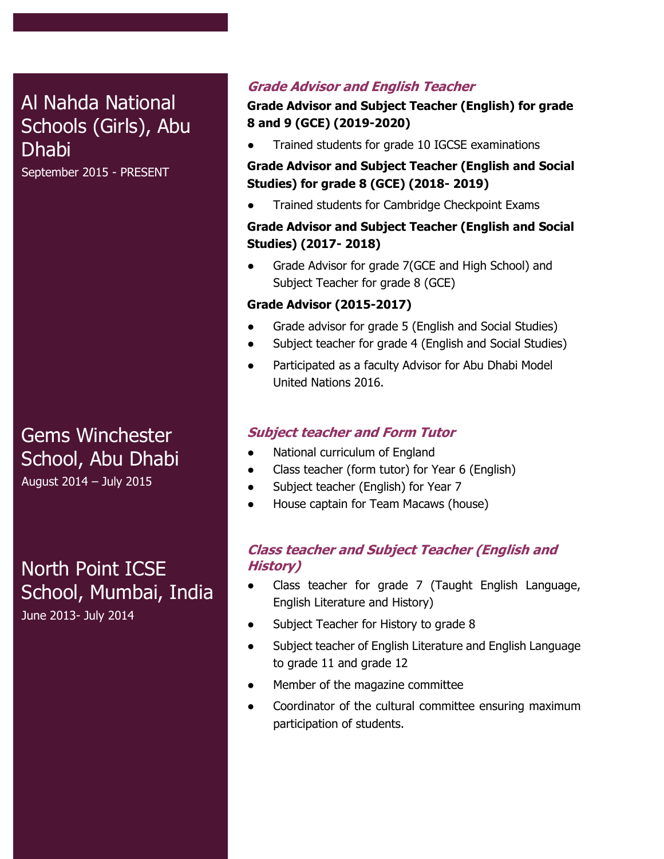### Al Nahda National Schools (Girls), Abu Dhabi

September 2015 - PRESENT

### School, Abu Dhabi Gems Winchester **Dhabi** August 2014 – July 2015

English ★★★★★

North Point ICSE School, Mumbai, India June 2013- July 2014

#### **Grade Advisor and English Teacher**

#### **Grade Advisor and Subject Teacher (English) for grade 8 and 9 (GCE) (2019-2020)**

Trained students for grade 10 IGCSE examinations

#### **Grade Advisor and Subject Teacher (English and Social Studies) for grade 8 (GCE) (2018- 2019)**

Trained students for Cambridge Checkpoint Exams

#### **Grade Advisor and Subject Teacher (English and Social Studies) (2017- 2018)**

Grade Advisor for grade 7(GCE and High School) and Subject Teacher for grade 8 (GCE)

#### **Grade Advisor (2015-2017)**

- Grade advisor for grade 5 (English and Social Studies)
- Subject teacher for grade 4 (English and Social Studies)
- Participated as a faculty Advisor for Abu Dhabi Model United Nations 2016.

#### **Subject teacher and Form Tutor**

- National curriculum of England
- Class teacher (form tutor) for Year 6 (English)
- Subject teacher (English) for Year 7
- House captain for Team Macaws (house)

#### **Class teacher and Subject Teacher (English and History)**

- Class teacher for grade 7 (Taught English Language, English Literature and History)
- Subject Teacher for History to grade 8
- Subject teacher of English Literature and English Language to grade 11 and grade 12
- Member of the magazine committee
- Coordinator of the cultural committee ensuring maximum participation of students.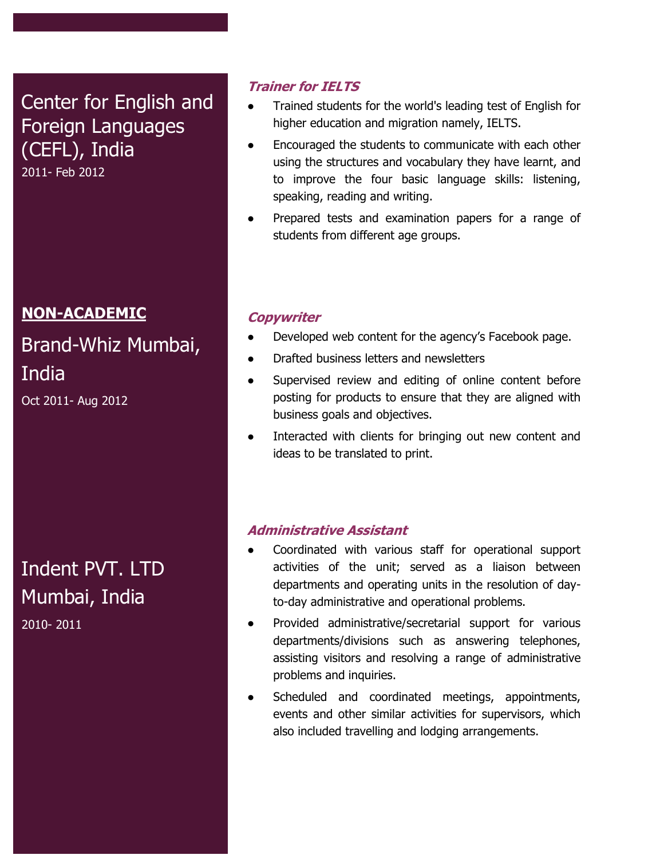## Center for English and Foreign Languages (CEFL), India

2011- Feb 2012

### **NON-ACADEMIC**

### Brand-Whiz Mumbai, India Oct 2011- Aug 2012

### Indent PVT. LTD Mumbai, India 2010- 2011

#### **Trainer for IELTS**

- Trained students for the world's leading test of English for higher education and migration namely, IELTS.
- Encouraged the students to communicate with each other using the structures and vocabulary they have learnt, and to improve the four basic language skills: listening, speaking, reading and writing.
- Prepared tests and examination papers for a range of students from different age groups.

#### **Copywriter**

- Developed web content for the agency's Facebook page.
- Drafted business letters and newsletters
- Supervised review and editing of online content before posting for products to ensure that they are aligned with business goals and objectives.
- Interacted with clients for bringing out new content and ideas to be translated to print.

#### **Administrative Assistant**

- Coordinated with various staff for operational support activities of the unit; served as a liaison between departments and operating units in the resolution of dayto-day administrative and operational problems.
- Provided administrative/secretarial support for various departments/divisions such as answering telephones, assisting visitors and resolving a range of administrative problems and inquiries.
- Scheduled and coordinated meetings, appointments, events and other similar activities for supervisors, which also included travelling and lodging arrangements.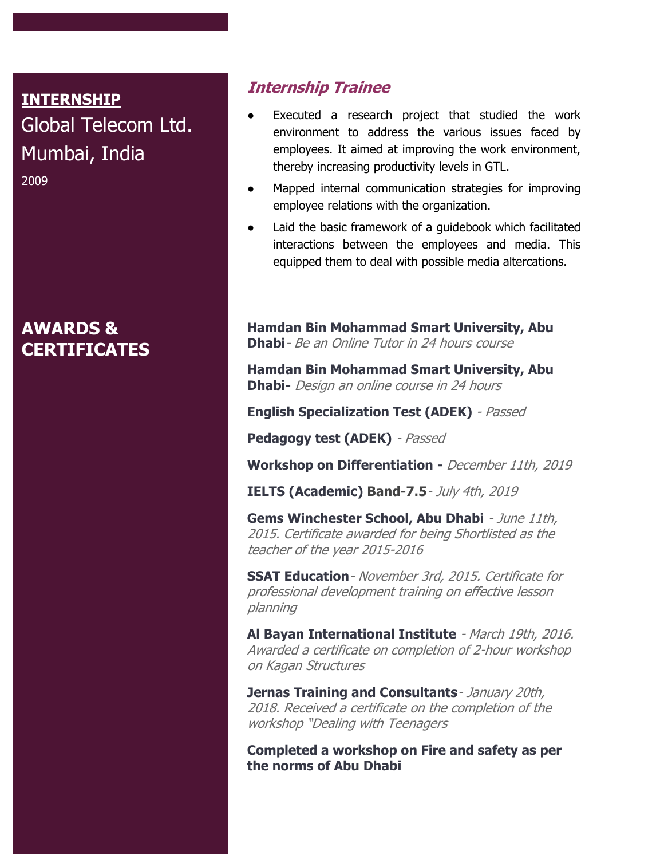### INTERNSHIP **INTERNSHIP** Global Telecom Ltd. Global Telecom Ltd. Mumbai, India Mumbai, India 2009

### **AWARDS & CERTIFICATES**

#### **Internship Trainee**

- Executed a research project that studied the work environment to address the various issues faced by employees. It aimed at improving the work environment, thereby increasing productivity levels in GTL.
- Mapped internal communication strategies for improving employee relations with the organization.
- Laid the basic framework of a guidebook which facilitated interactions between the employees and media. This equipped them to deal with possible media altercations.

**Hamdan Bin Mohammad Smart University, Abu Dhabi**- Be an Online Tutor in 24 hours course

**Hamdan Bin Mohammad Smart University, Abu Dhabi-** Design an online course in 24 hours

**English Specialization Test (ADEK)** - Passed

**Pedagogy test (ADEK)** - Passed

**Workshop on Differentiation -** December 11th, 2019

**IELTS (Academic) Band-7.5**- July 4th, 2019

**Gems Winchester School, Abu Dhabi** - June 11th, 2015. Certificate awarded for being Shortlisted as the teacher of the year 2015-2016

**SSAT Education**- November 3rd, 2015. Certificate for professional development training on effective lesson planning

**Al Bayan International Institute** - March 19th, 2016. Awarded a certificate on completion of 2-hour workshop on Kagan Structures

**Jernas Training and Consultants**- January 20th, 2018. Received a certificate on the completion of the workshop "Dealing with Teenagers

**Completed a workshop on Fire and safety as per the norms of Abu Dhabi**